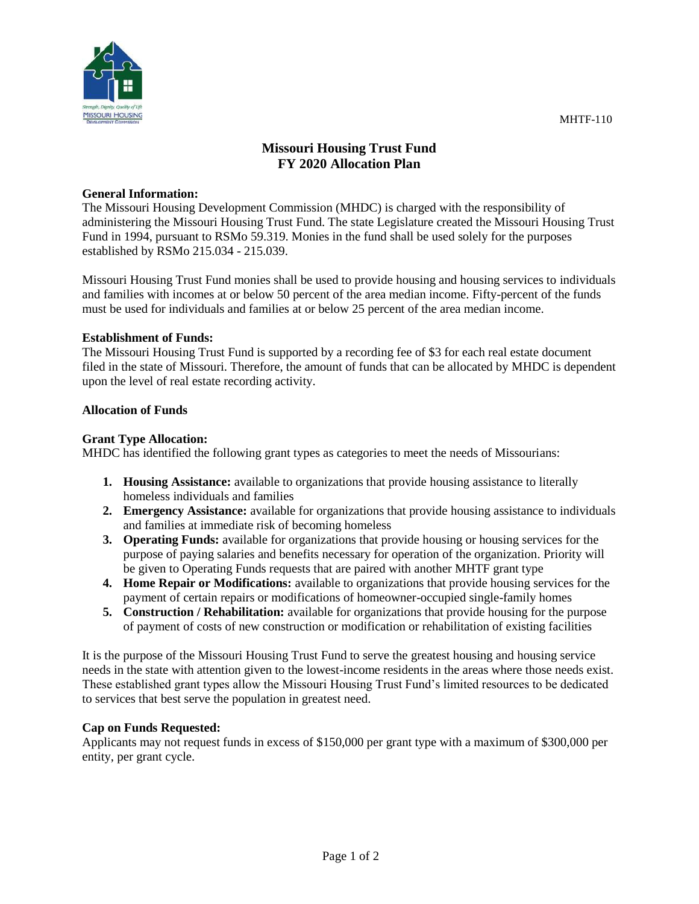

# **Missouri Housing Trust Fund FY 2020 Allocation Plan**

## **General Information:**

The Missouri Housing Development Commission (MHDC) is charged with the responsibility of administering the Missouri Housing Trust Fund. The state Legislature created the Missouri Housing Trust Fund in 1994, pursuant to RSMo 59.319. Monies in the fund shall be used solely for the purposes established by RSMo 215.034 - 215.039.

Missouri Housing Trust Fund monies shall be used to provide housing and housing services to individuals and families with incomes at or below 50 percent of the area median income. Fifty-percent of the funds must be used for individuals and families at or below 25 percent of the area median income.

## **Establishment of Funds:**

The Missouri Housing Trust Fund is supported by a recording fee of \$3 for each real estate document filed in the state of Missouri. Therefore, the amount of funds that can be allocated by MHDC is dependent upon the level of real estate recording activity.

#### **Allocation of Funds**

#### **Grant Type Allocation:**

MHDC has identified the following grant types as categories to meet the needs of Missourians:

- **1. Housing Assistance:** available to organizations that provide housing assistance to literally homeless individuals and families
- **2. Emergency Assistance:** available for organizations that provide housing assistance to individuals and families at immediate risk of becoming homeless
- **3. Operating Funds:** available for organizations that provide housing or housing services for the purpose of paying salaries and benefits necessary for operation of the organization. Priority will be given to Operating Funds requests that are paired with another MHTF grant type
- **4. Home Repair or Modifications:** available to organizations that provide housing services for the payment of certain repairs or modifications of homeowner-occupied single-family homes
- **5. Construction / Rehabilitation:** available for organizations that provide housing for the purpose of payment of costs of new construction or modification or rehabilitation of existing facilities

It is the purpose of the Missouri Housing Trust Fund to serve the greatest housing and housing service needs in the state with attention given to the lowest-income residents in the areas where those needs exist. These established grant types allow the Missouri Housing Trust Fund's limited resources to be dedicated to services that best serve the population in greatest need.

## **Cap on Funds Requested:**

Applicants may not request funds in excess of \$150,000 per grant type with a maximum of \$300,000 per entity, per grant cycle.